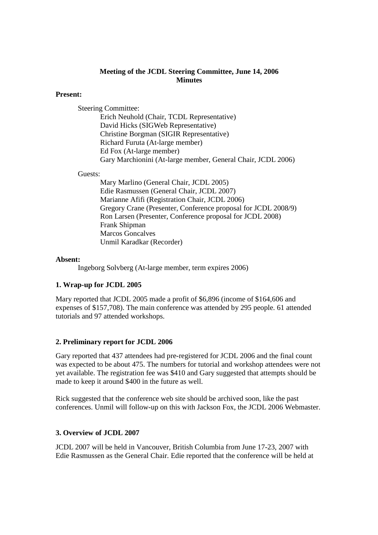## **Meeting of the JCDL Steering Committee, June 14, 2006 Minutes**

#### **Present:**

Steering Committee:

Erich Neuhold (Chair, TCDL Representative) David Hicks (SIGWeb Representative) Christine Borgman (SIGIR Representative) Richard Furuta (At-large member) Ed Fox (At-large member) Gary Marchionini (At-large member, General Chair, JCDL 2006)

#### Guests:

Mary Marlino (General Chair, JCDL 2005) Edie Rasmussen (General Chair, JCDL 2007) Marianne Afifi (Registration Chair, JCDL 2006) Gregory Crane (Presenter, Conference proposal for JCDL 2008/9) Ron Larsen (Presenter, Conference proposal for JCDL 2008) Frank Shipman Marcos Goncalves Unmil Karadkar (Recorder)

#### **Absent:**

Ingeborg Solvberg (At-large member, term expires 2006)

## **1. Wrap-up for JCDL 2005**

Mary reported that JCDL 2005 made a profit of \$6,896 (income of \$164,606 and expenses of \$157,708). The main conference was attended by 295 people. 61 attended tutorials and 97 attended workshops.

## **2. Preliminary report for JCDL 2006**

Gary reported that 437 attendees had pre-registered for JCDL 2006 and the final count was expected to be about 475. The numbers for tutorial and workshop attendees were not yet available. The registration fee was \$410 and Gary suggested that attempts should be made to keep it around \$400 in the future as well.

Rick suggested that the conference web site should be archived soon, like the past conferences. Unmil will follow-up on this with Jackson Fox, the JCDL 2006 Webmaster.

## **3. Overview of JCDL 2007**

JCDL 2007 will be held in Vancouver, British Columbia from June 17-23, 2007 with Edie Rasmussen as the General Chair. Edie reported that the conference will be held at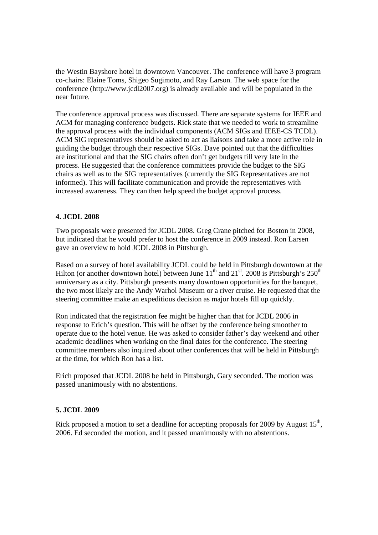the Westin Bayshore hotel in downtown Vancouver. The conference will have 3 program co-chairs: Elaine Toms, Shigeo Sugimoto, and Ray Larson. The web space for the conference (http://www.jcdl2007.org) is already available and will be populated in the near future.

The conference approval process was discussed. There are separate systems for IEEE and ACM for managing conference budgets. Rick state that we needed to work to streamline the approval process with the individual components (ACM SIGs and IEEE-CS TCDL). ACM SIG representatives should be asked to act as liaisons and take a more active role in guiding the budget through their respective SIGs. Dave pointed out that the difficulties are institutional and that the SIG chairs often don't get budgets till very late in the process. He suggested that the conference committees provide the budget to the SIG chairs as well as to the SIG representatives (currently the SIG Representatives are not informed). This will facilitate communication and provide the representatives with increased awareness. They can then help speed the budget approval process.

## **4. JCDL 2008**

Two proposals were presented for JCDL 2008. Greg Crane pitched for Boston in 2008, but indicated that he would prefer to host the conference in 2009 instead. Ron Larsen gave an overview to hold JCDL 2008 in Pittsburgh.

Based on a survey of hotel availability JCDL could be held in Pittsburgh downtown at the Hilton (or another downtown hotel) between June  $11<sup>th</sup>$  and  $21<sup>st</sup>$ . 2008 is Pittsburgh's  $250<sup>th</sup>$ anniversary as a city. Pittsburgh presents many downtown opportunities for the banquet, the two most likely are the Andy Warhol Museum or a river cruise. He requested that the steering committee make an expeditious decision as major hotels fill up quickly.

Ron indicated that the registration fee might be higher than that for JCDL 2006 in response to Erich's question. This will be offset by the conference being smoother to operate due to the hotel venue. He was asked to consider father's day weekend and other academic deadlines when working on the final dates for the conference. The steering committee members also inquired about other conferences that will be held in Pittsburgh at the time, for which Ron has a list.

Erich proposed that JCDL 2008 be held in Pittsburgh, Gary seconded. The motion was passed unanimously with no abstentions.

## **5. JCDL 2009**

Rick proposed a motion to set a deadline for accepting proposals for 2009 by August  $15<sup>th</sup>$ , 2006. Ed seconded the motion, and it passed unanimously with no abstentions.